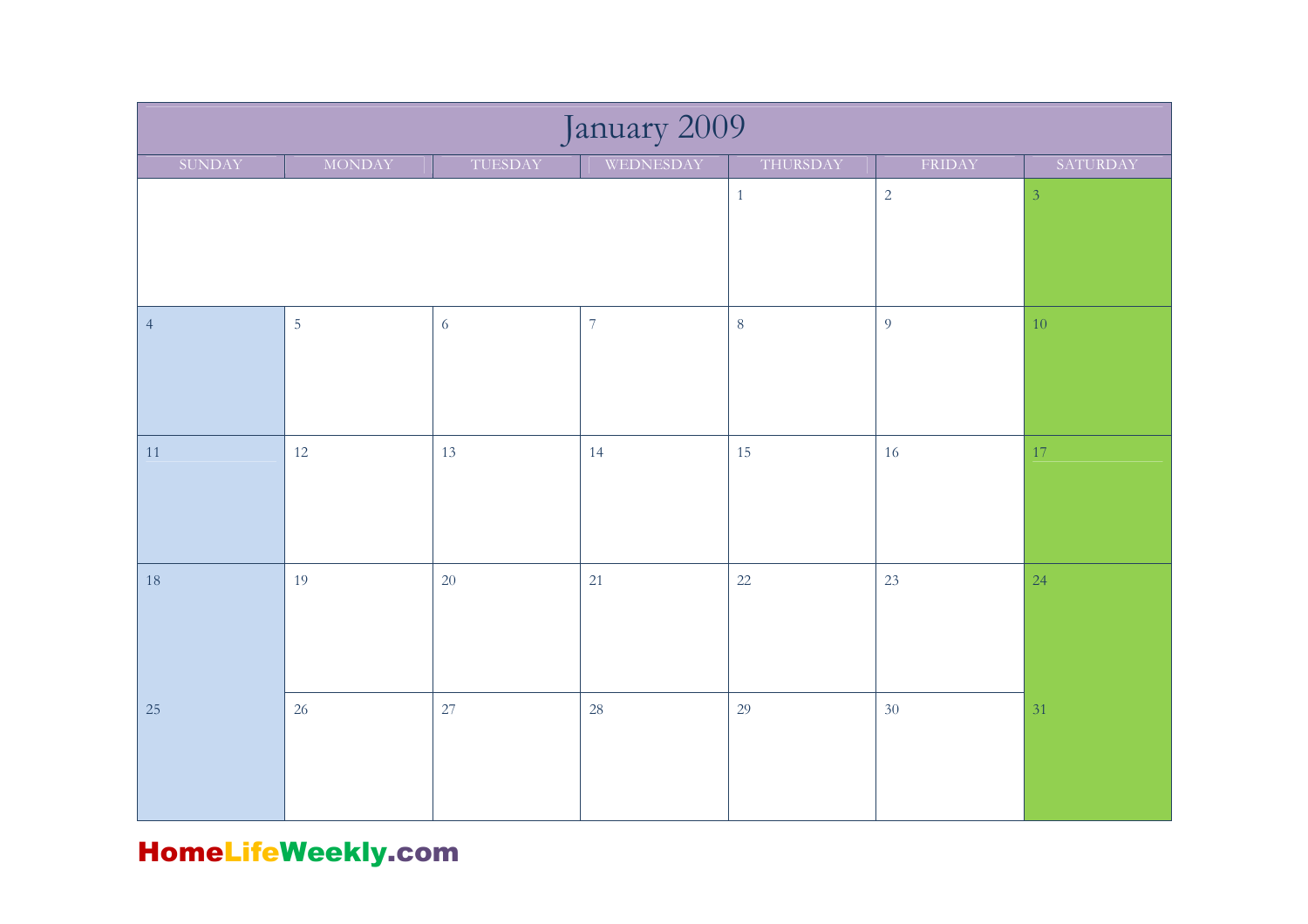| January 2009   |                |                |                |                |                |          |  |  |
|----------------|----------------|----------------|----------------|----------------|----------------|----------|--|--|
| SUNDAY         | <b>MONDAY</b>  | TUESDAY        | WEDNESDAY      | THURSDAY       | FRIDAY         | SATURDAY |  |  |
|                |                |                | $\mathbf{1}$   | $\sqrt{2}$     | $\overline{3}$ |          |  |  |
|                |                |                |                |                |                |          |  |  |
| $\overline{4}$ | $\overline{5}$ | $\overline{6}$ | $\overline{7}$ | $\overline{8}$ | $\overline{9}$ | $10\,$   |  |  |
| 11             | 12             | 13             | 14             | 15             | 16             | 17       |  |  |
| 18             | 19             | $20\,$         | 21             | $22\,$         | 23             | 24       |  |  |
| 25             | 26             | 27             | 28             | 29             | 30             | 31       |  |  |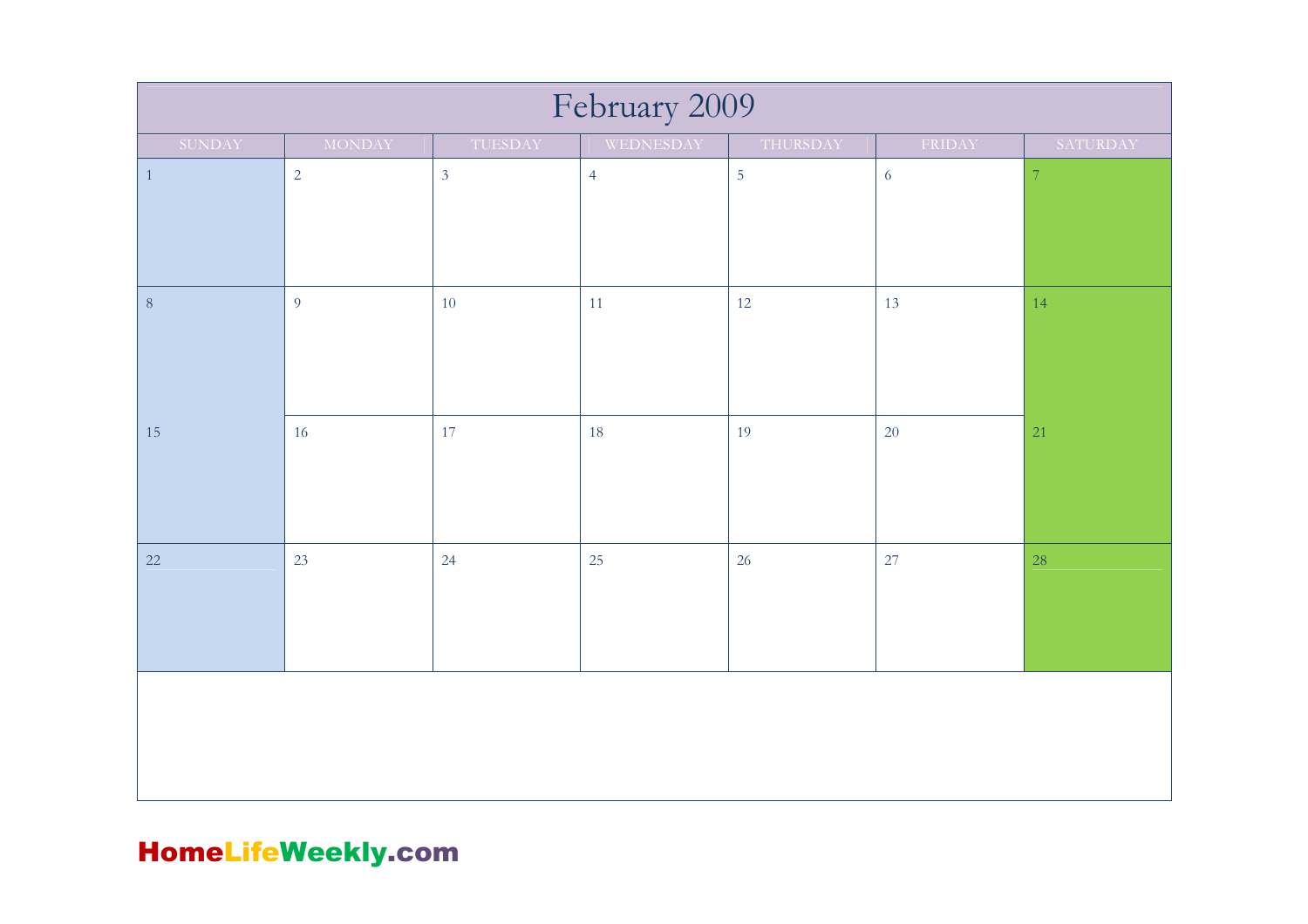| February 2009 |               |                |                |                |            |                          |  |  |
|---------------|---------------|----------------|----------------|----------------|------------|--------------------------|--|--|
| SUNDAY        | <b>MONDAY</b> | TUESDAY        | WEDNESDAY      | THURSDAY       | FRIDAY     | SATURDAY                 |  |  |
| $\mathbf{1}$  | $\sqrt{2}$    | $\mathfrak{Z}$ | $\overline{4}$ | $\overline{5}$ | $\sqrt{6}$ | $\overline{\mathcal{I}}$ |  |  |
|               |               |                |                |                |            |                          |  |  |
|               |               |                |                |                |            |                          |  |  |
| $\, 8$        | 9             | 10             | $11\,$         | 12             | 13         | 14                       |  |  |
|               |               |                |                |                |            |                          |  |  |
|               |               |                |                |                |            |                          |  |  |
| 15            | 16            | 17             | 18             | 19             | 20         | 21                       |  |  |
|               |               |                |                |                |            |                          |  |  |
|               |               |                |                |                |            |                          |  |  |
| $22\,$        | 23            | 24             | 25             | 26             | 27         | 28                       |  |  |
|               |               |                |                |                |            |                          |  |  |
|               |               |                |                |                |            |                          |  |  |
|               |               |                |                |                |            |                          |  |  |
|               |               |                |                |                |            |                          |  |  |
|               |               |                |                |                |            |                          |  |  |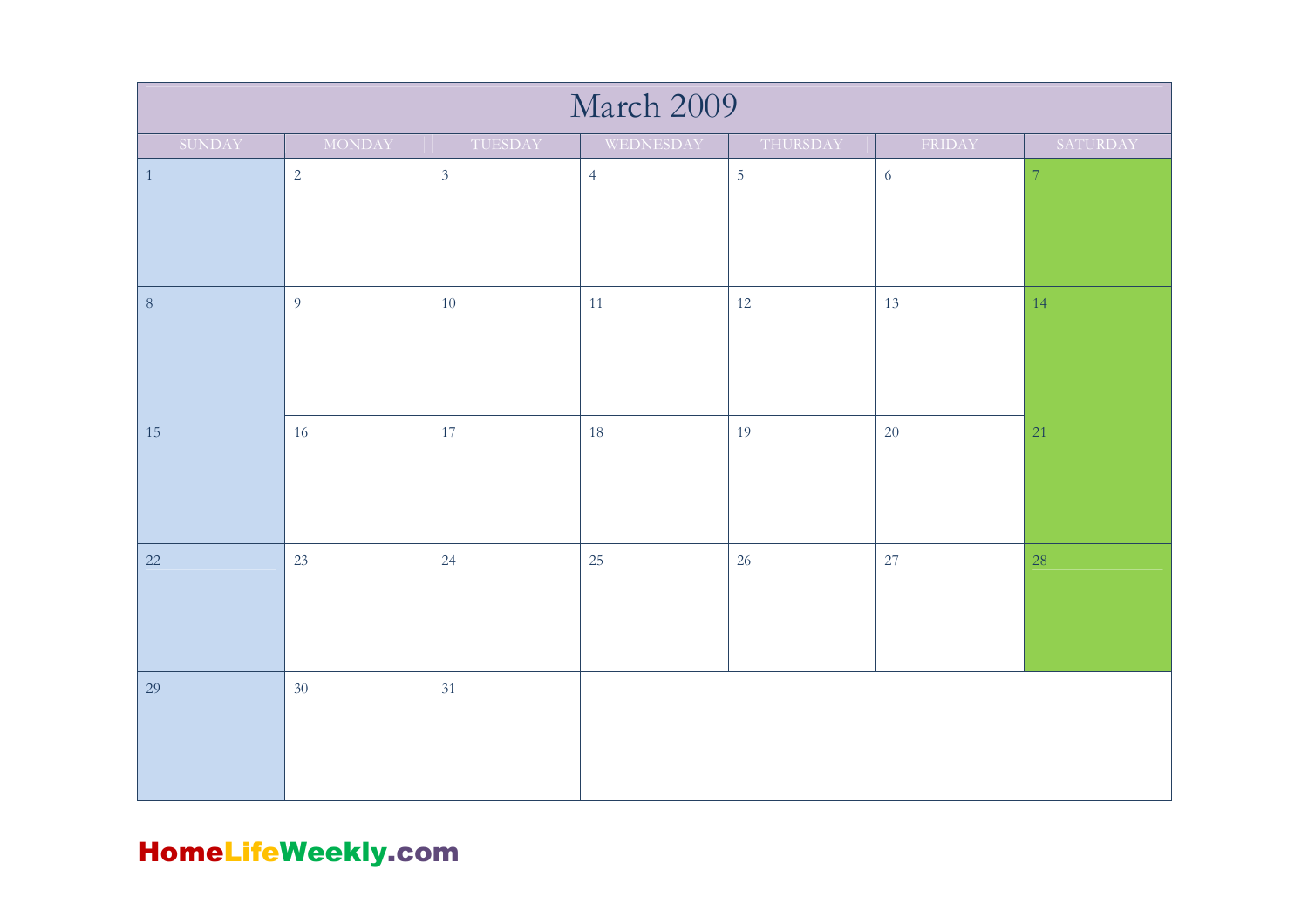| March 2009 |                |                |                |                |            |                |  |  |
|------------|----------------|----------------|----------------|----------------|------------|----------------|--|--|
| SUNDAY     | MONDAY         | TUESDAY        | WEDNESDAY      | THURSDAY       | FRIDAY     | SATURDAY       |  |  |
| $\,1\,$    | $\overline{2}$ | $\mathfrak{Z}$ | $\overline{4}$ | $\overline{5}$ | $\sqrt{6}$ | $\overline{7}$ |  |  |
| $\,8\,$    | $\overline{9}$ | $10\,$         | 11             | 12             | 13         | 14             |  |  |
| 15         | 16             | 17             | 18             | 19             | 20         | 21             |  |  |
| 22         | 23             | 24             | 25             | 26             | 27         | 28             |  |  |
| 29         | 30             | 31             |                |                |            |                |  |  |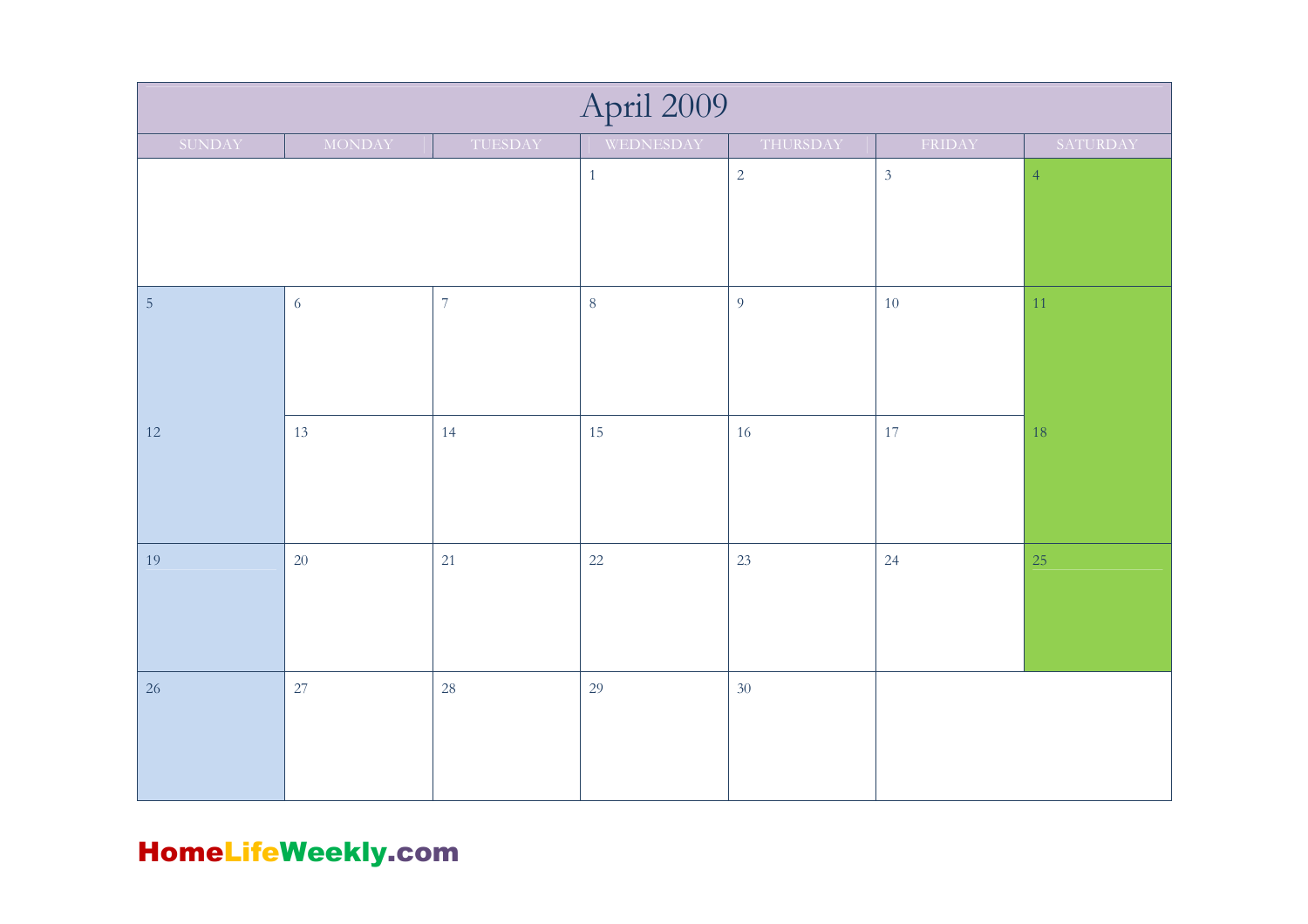| April 2009     |               |                |                |                |                |          |  |  |
|----------------|---------------|----------------|----------------|----------------|----------------|----------|--|--|
| SUNDAY         | <b>MONDAY</b> | TUESDAY        | WEDNESDAY      | THURSDAY       | FRIDAY         | SATURDAY |  |  |
|                |               | $\mathbf{1}$   | $\overline{2}$ | $\mathfrak{Z}$ | $\overline{4}$ |          |  |  |
| $\overline{5}$ | $\sqrt{6}$    | $\overline{7}$ | $\,8\,$        | 9              | $10\,$         | 11       |  |  |
| 12             | 13            | 14             | 15             | 16             | 17             | 18       |  |  |
| 19             | 20            | 21             | 22             | 23             | 24             | 25       |  |  |
| 26             | 27            | 28             | 29             | 30             |                |          |  |  |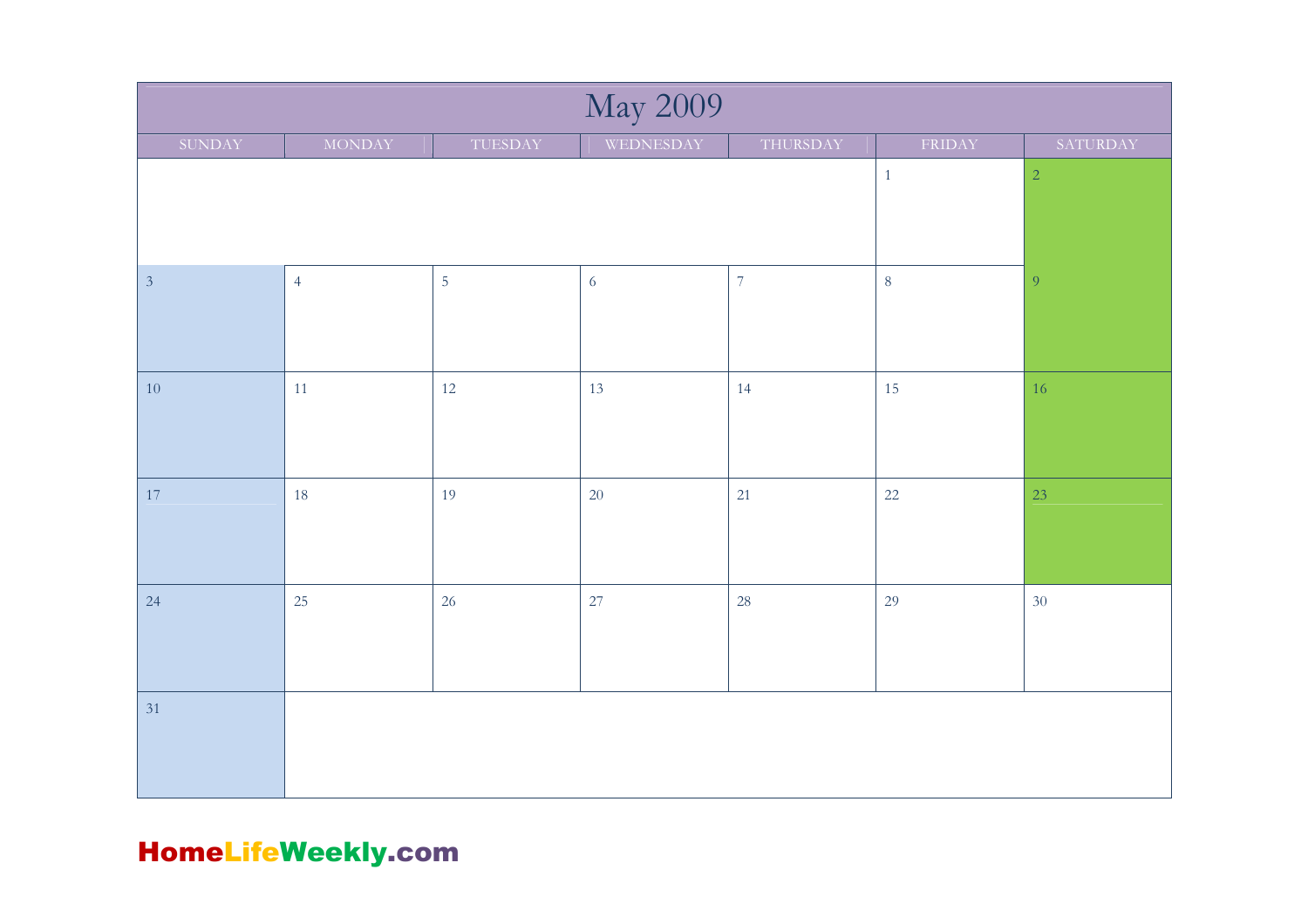| <b>May 2009</b> |                |                |            |                |              |                |  |  |
|-----------------|----------------|----------------|------------|----------------|--------------|----------------|--|--|
| SUNDAY          | <b>MONDAY</b>  | TUESDAY        | WEDNESDAY  | THURSDAY       | FRIDAY       | SATURDAY       |  |  |
|                 |                |                |            |                | $\mathbf{1}$ | $\sqrt{2}$     |  |  |
|                 |                |                |            |                |              |                |  |  |
|                 |                |                |            |                |              |                |  |  |
| $\sqrt{3}$      | $\overline{4}$ | $\overline{5}$ | $\sqrt{6}$ | $\overline{7}$ | $\,8\,$      | $\overline{9}$ |  |  |
|                 |                |                |            |                |              |                |  |  |
|                 |                |                |            |                |              |                |  |  |
| 10              | $11\,$         | 12             | 13         | 14             | 15           | 16             |  |  |
|                 |                |                |            |                |              |                |  |  |
|                 |                |                |            |                |              |                |  |  |
| 17              | 18             | 19             | 20         | 21             | 22           | 23             |  |  |
|                 |                |                |            |                |              |                |  |  |
|                 |                |                |            |                |              |                |  |  |
| 24              | 25             | 26             | 27         | 28             | 29           | 30             |  |  |
|                 |                |                |            |                |              |                |  |  |
|                 |                |                |            |                |              |                |  |  |
| 31              |                |                |            |                |              |                |  |  |
|                 |                |                |            |                |              |                |  |  |
|                 |                |                |            |                |              |                |  |  |
|                 |                |                |            |                |              |                |  |  |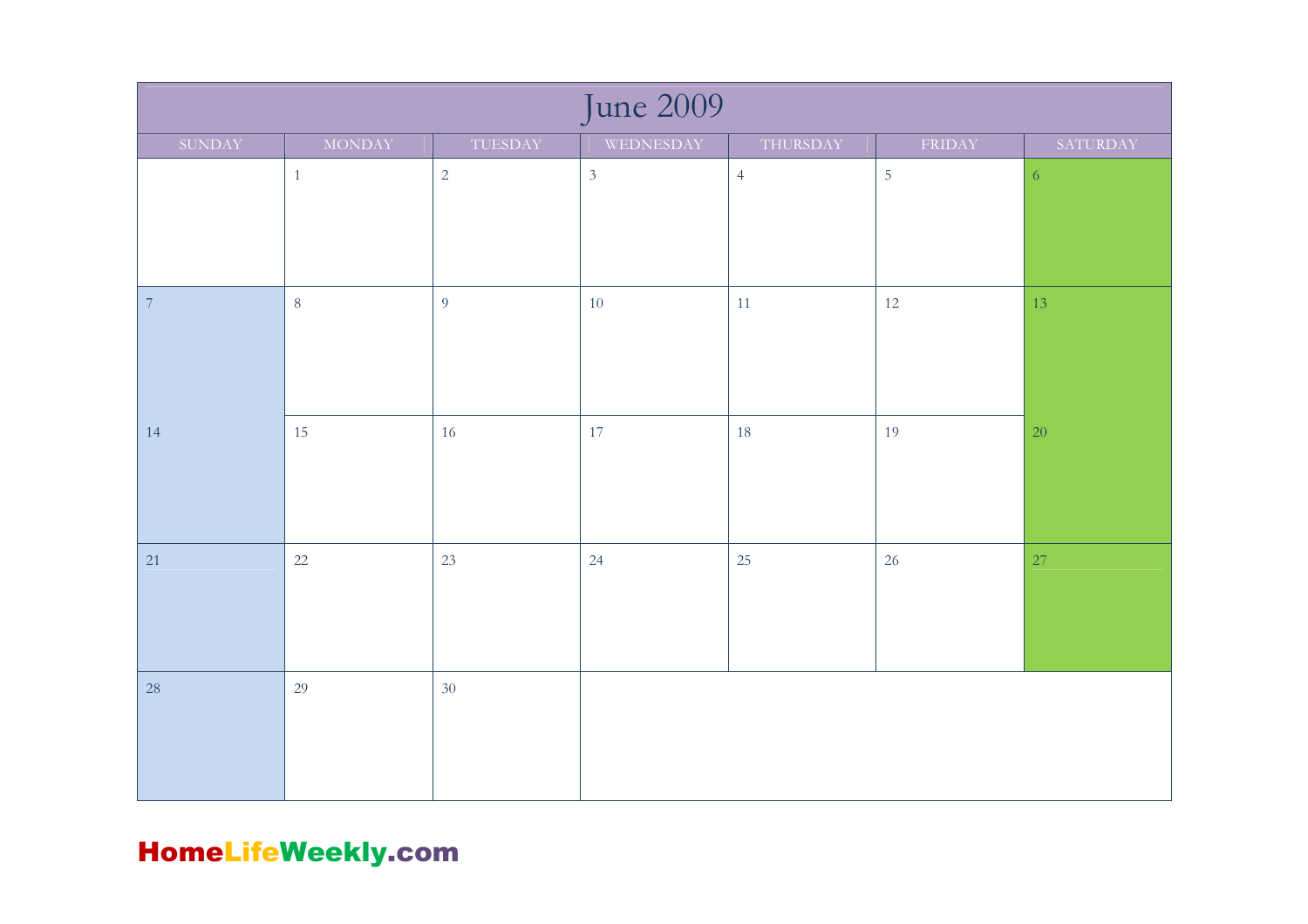| June 2009  |               |                |                |                |            |            |  |  |
|------------|---------------|----------------|----------------|----------------|------------|------------|--|--|
| SUNDAY     | <b>MONDAY</b> | TUESDAY        | WEDNESDAY      | THURSDAY       | FRIDAY     | SATURDAY   |  |  |
|            | $\mathbf{1}$  | $\overline{2}$ | $\overline{3}$ | $\overline{4}$ | $\sqrt{5}$ | $\sqrt{6}$ |  |  |
| $\sqrt{7}$ | $\,8\,$       | $\overline{9}$ | $10\,$         | 11             | 12         | 13         |  |  |
| 14         | 15            | 16             | 17             | 18             | 19         | 20         |  |  |
| 21         | 22            | 23             | 24             | 25             | 26         | 27         |  |  |
| $28\,$     | 29            | 30             |                |                |            |            |  |  |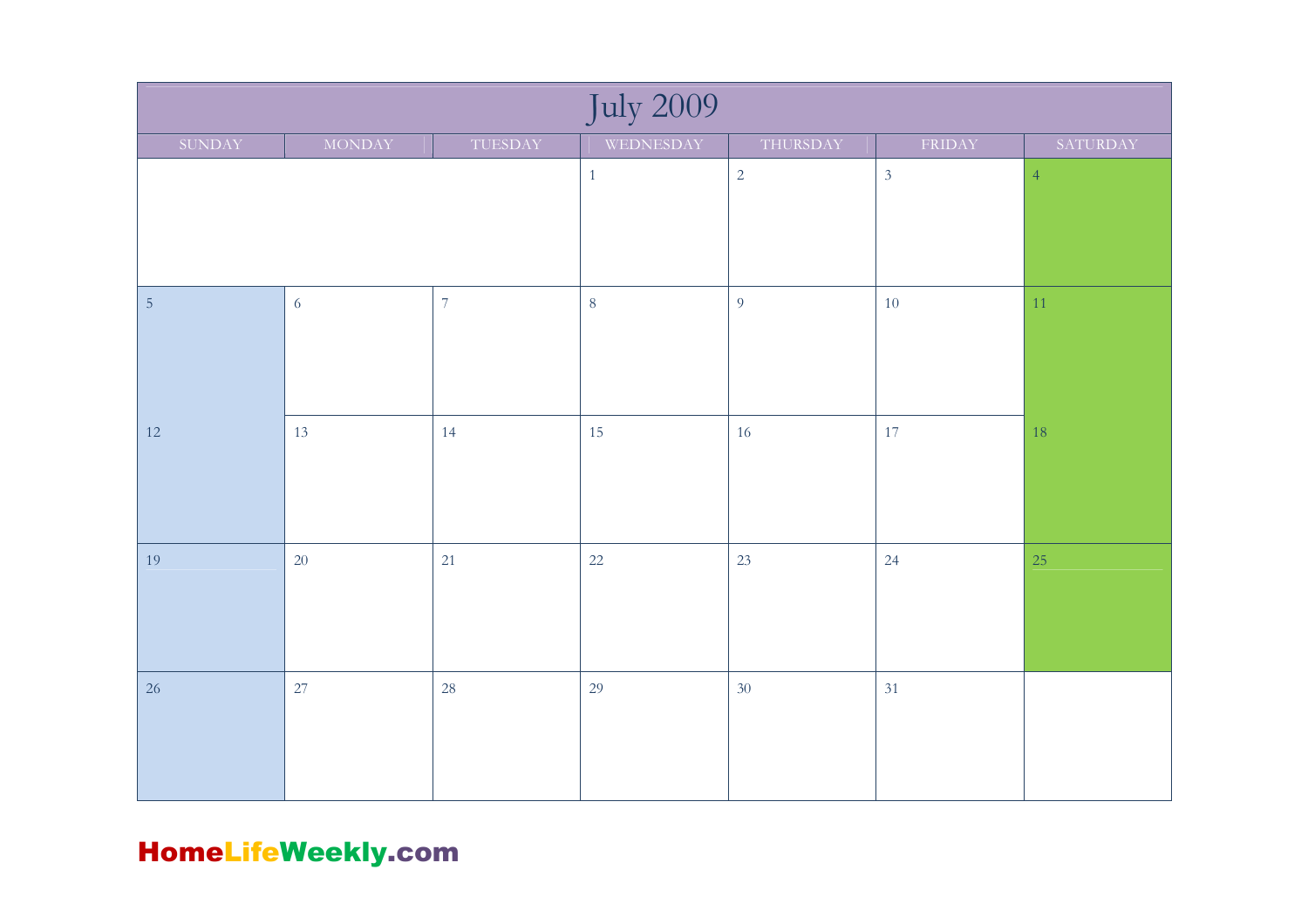| <b>July 2009</b> |                |                |           |            |                |                |  |  |
|------------------|----------------|----------------|-----------|------------|----------------|----------------|--|--|
| SUNDAY           | <b>MONDAY</b>  | TUESDAY        | WEDNESDAY | THURSDAY   | FRIDAY         | SATURDAY       |  |  |
|                  |                |                | $1\,$     | $\sqrt{2}$ | $\mathfrak{Z}$ | $\overline{4}$ |  |  |
|                  |                |                |           |            |                |                |  |  |
|                  |                |                |           |            |                |                |  |  |
|                  |                |                |           |            |                |                |  |  |
| $\sqrt{5}$       | $\overline{6}$ | $\overline{7}$ | $\,8\,$   | 9          | 10             | $11\,$         |  |  |
|                  |                |                |           |            |                |                |  |  |
|                  |                |                |           |            |                |                |  |  |
|                  |                |                |           |            |                |                |  |  |
| 12               | 13             | 14             | 15        | 16         | 17             | 18             |  |  |
|                  |                |                |           |            |                |                |  |  |
|                  |                |                |           |            |                |                |  |  |
|                  |                |                |           |            |                |                |  |  |
| 19               | $20\,$         | 21             | 22        | 23         | 24             | 25             |  |  |
|                  |                |                |           |            |                |                |  |  |
|                  |                |                |           |            |                |                |  |  |
|                  |                |                |           |            |                |                |  |  |
| 26               | 27             | 28             | 29        | 30         | 31             |                |  |  |
|                  |                |                |           |            |                |                |  |  |
|                  |                |                |           |            |                |                |  |  |
|                  |                |                |           |            |                |                |  |  |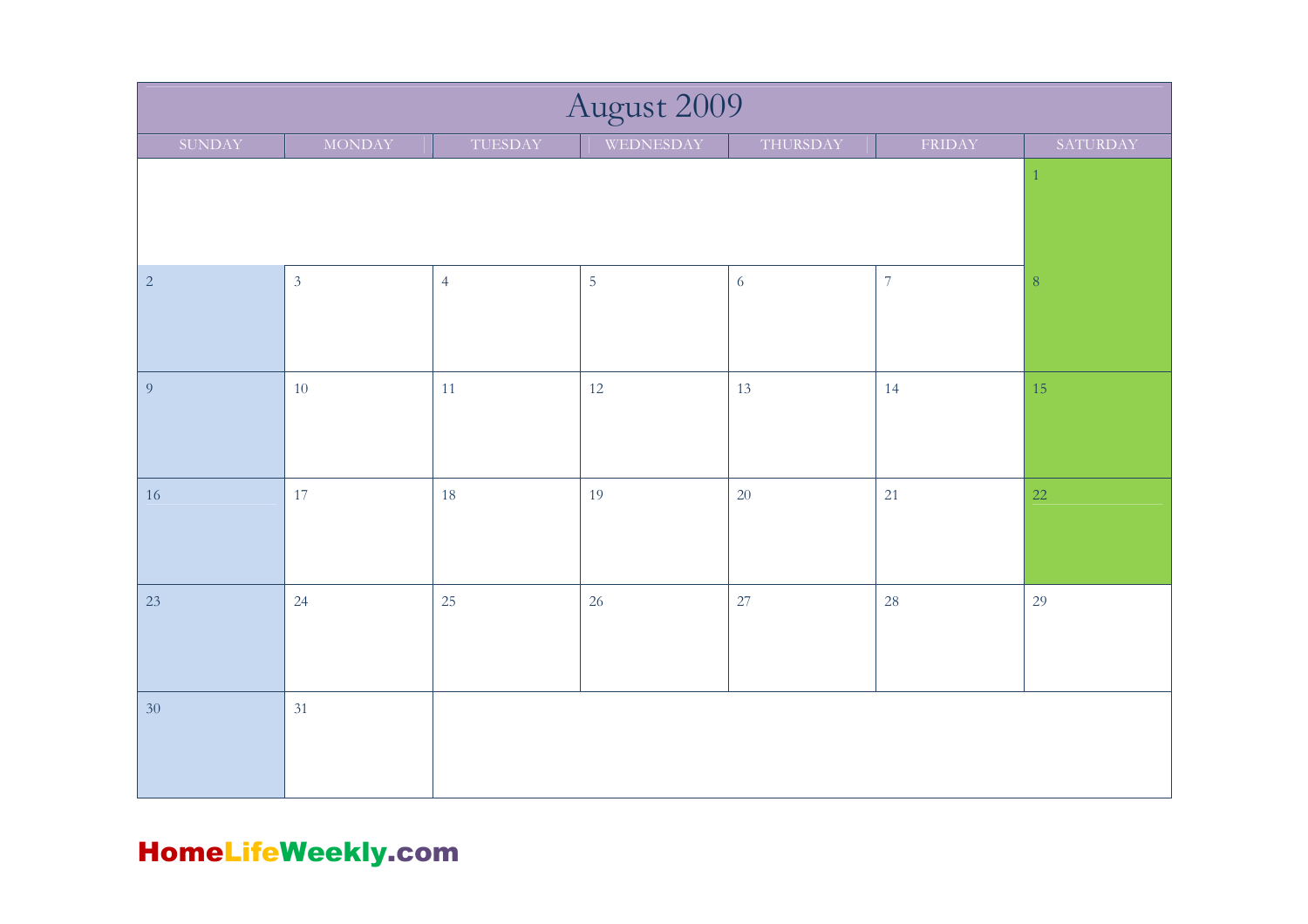| August 2009    |                |                |            |            |                  |          |  |  |
|----------------|----------------|----------------|------------|------------|------------------|----------|--|--|
| SUNDAY         | <b>MONDAY</b>  | TUESDAY        | WEDNESDAY  | THURSDAY   | FRIDAY           | SATURDAY |  |  |
|                |                |                |            |            |                  |          |  |  |
| $\sqrt{2}$     | $\overline{3}$ | $\overline{4}$ | $\sqrt{5}$ | $\sqrt{6}$ | $\boldsymbol{7}$ | $\,8\,$  |  |  |
| $\overline{9}$ | 10             | 11             | 12         | 13         | 14               | 15       |  |  |
| 16             | 17             | 18             | 19         | $20\,$     | 21               | 22       |  |  |
| 23             | 24             | 25             | 26         | 27         | 28               | 29       |  |  |
| $30\,$         | 31             |                |            |            |                  |          |  |  |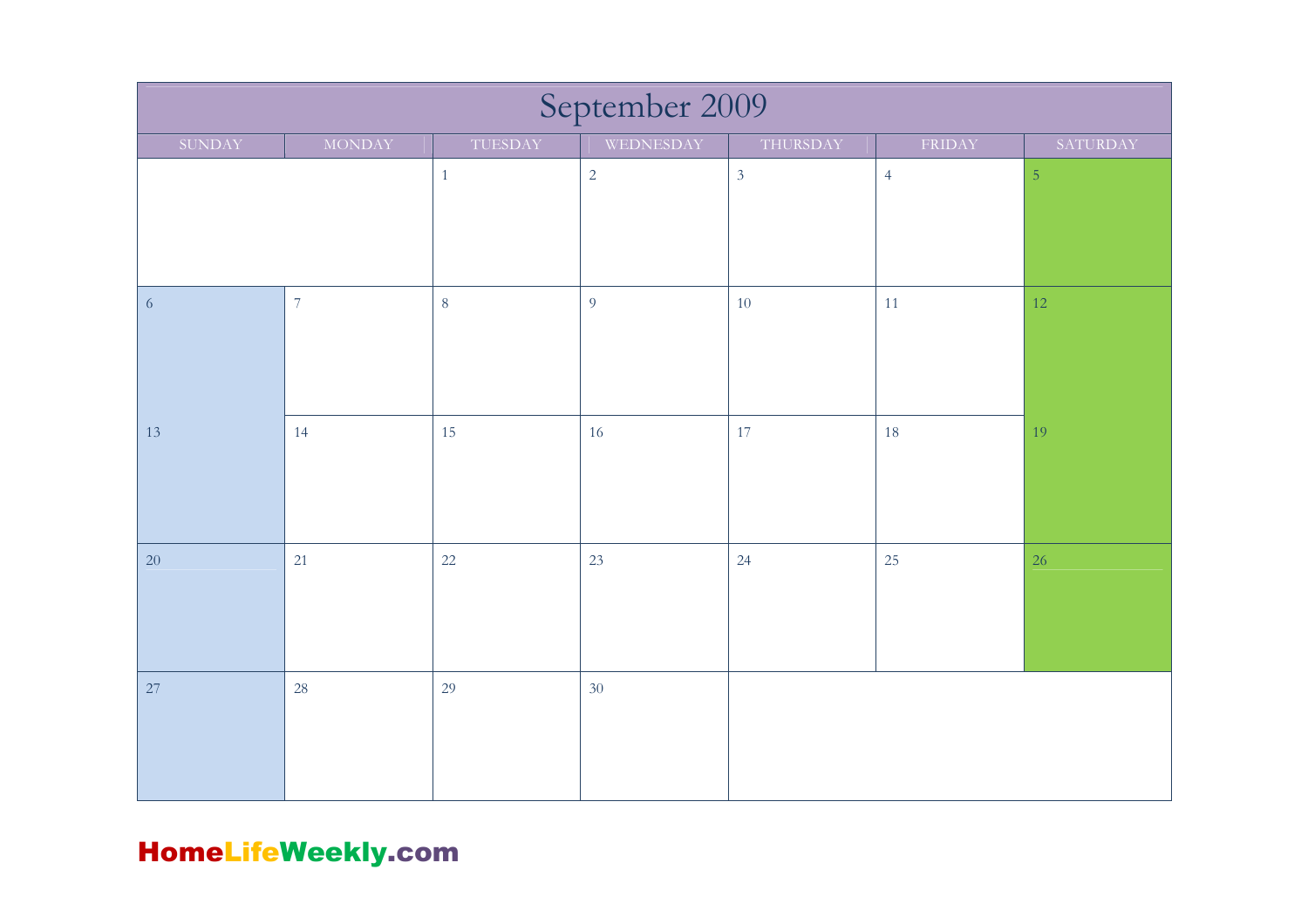| September 2009 |                |              |            |                |                |                |  |  |
|----------------|----------------|--------------|------------|----------------|----------------|----------------|--|--|
| SUNDAY         | <b>MONDAY</b>  | TUESDAY      | WEDNESDAY  | THURSDAY       | FRIDAY         | SATURDAY       |  |  |
|                |                | $\mathbf{1}$ | $\sqrt{2}$ | $\mathfrak{Z}$ | $\overline{4}$ | $\overline{5}$ |  |  |
| $\sqrt{6}$     | $\overline{7}$ | $\, 8$       | 9          | 10             | 11             | $12\,$         |  |  |
| 13             | 14             | 15           | 16         | 17             | 18             | 19             |  |  |
| 20             | 21             | 22           | 23         | 24             | 25             | 26             |  |  |
| 27             | 28             | 29           | 30         |                |                |                |  |  |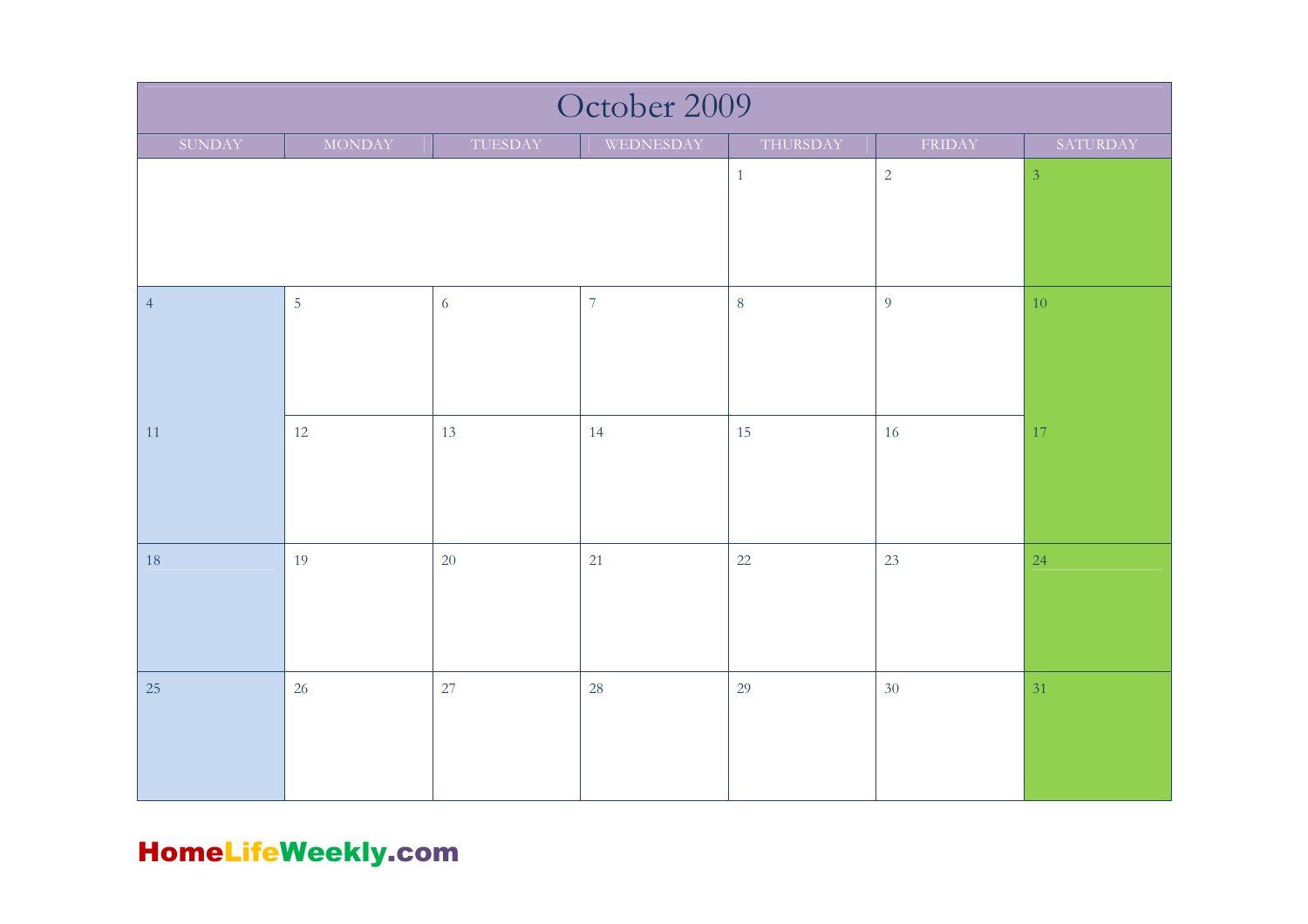| October 2009   |                |         |                  |            |                |          |  |  |
|----------------|----------------|---------|------------------|------------|----------------|----------|--|--|
| SUNDAY         | MONDAY         | TUESDAY | WEDNESDAY        | THURSDAY   | FRIDAY         | SATURDAY |  |  |
|                |                |         | $1\,$            | $\sqrt{2}$ | $\overline{3}$ |          |  |  |
| $\overline{4}$ | $\overline{5}$ | 6       | $\boldsymbol{7}$ | $\,8\,$    | $\overline{9}$ | $10\,$   |  |  |
| 11             | 12             | 13      | 14               | 15         | 16             | $17\,$   |  |  |
| 18             | 19             | 20      | 21               | 22         | 23             | 24       |  |  |
| 25             | 26             | 27      | $28\,$           | 29         | 30             | 31       |  |  |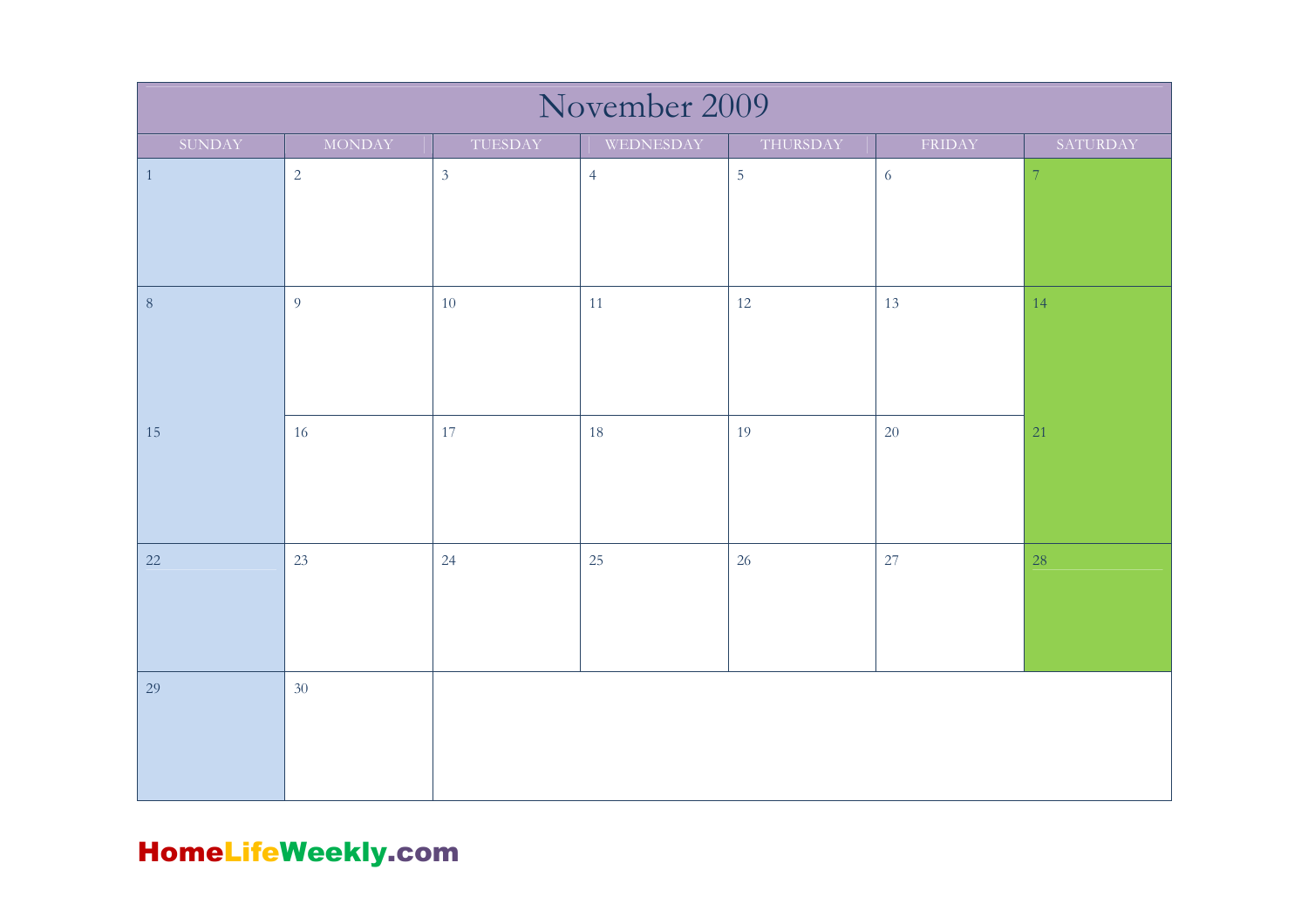| November 2009 |                |                |                |            |            |                  |  |  |
|---------------|----------------|----------------|----------------|------------|------------|------------------|--|--|
| SUNDAY        | <b>MONDAY</b>  | TUESDAY        | WEDNESDAY      | THURSDAY   | FRIDAY     | SATURDAY         |  |  |
| $\,1\,$       | $\sqrt{2}$     | $\mathfrak{Z}$ | $\overline{4}$ | $\sqrt{5}$ | $\sqrt{6}$ | $\boldsymbol{7}$ |  |  |
| $\, 8$        | $\overline{9}$ | 10             | 11             | 12         | 13         | 14               |  |  |
| 15            | 16             | 17             | 18             | 19         | 20         | 21               |  |  |
| 22            | 23             | 24             | 25             | 26         | 27         | 28               |  |  |
| 29            | 30             |                |                |            |            |                  |  |  |